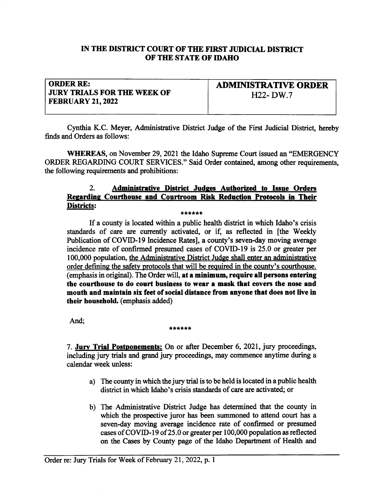## IN THE DISTRICT COURT OF THE FIRST JUDICIAL DISTRICT OF THE STATE OF IDAHO

## ORDER RE: **JURY TRIALS FOR THE WEEK OF** FEBRUARY 21,2022

ADMIMSTRATTVE ORDER H<sub>22</sub>- DW.7

Cynthia K.C. Meyer, Administrative Distict Judge of the First Judicial District, hereby finds and Orders as follows:

WHEREAS, on November 29, 2021 the Idaho Supreme Court issued an "EMERGENCY" ORDER REGARDING COURT SERVICES." Said Order contained, among other requirements, the following requirements and prohibitions:

## 2. Administrative District Judges Authorized to Issue Orders Regarding Courthouse and Courtroom Risk Reduction Protocols in Their Msls: \*\*\*\*\*\*

If a county is located within a public health district in which Idaho's crisis standards of care are currently activated, or if, as reflected in [the Weekly Publication of COVID-I9 Incidence Rates], a county's seven-day moving average incidence rate of confirmed presumed cases of COVID-19 is  $25.0$  or greater per 100,000 population, the Adurinistrative Distict Judge shall enter an administrative order defining the safety protocols that will be required in the county's courthouse. (emphasis in original). The Order will, at a minimum, require all persons entering the courthouse to do court business to wear a mask that covers the nose and mouth and maintain six feet of social distance from anyone thet does not live in their household. (emphasis added)

And; \*\*\*\*\*\*\*

7. Jury Trial Postponements: On or after December 6, 2021, jury proceedings, including jury trials and grand jury proceedings, may commence anytime during a calendar week unless:

- a) The county in which the jury trial is to be held is located in a public health district in which Idaho's crisis standards of care are activated; or
- b) The Administrative District Judge has determined that the county in which the prospective juror has been summoned to attend court has <sup>a</sup> seven-day moving average incidence rate of confirmed or presumed cases of COVID-19 of 25.0 or greater per  $100,000$  population as reflected on the Cases by County page of the Idaho Departnent of Health and